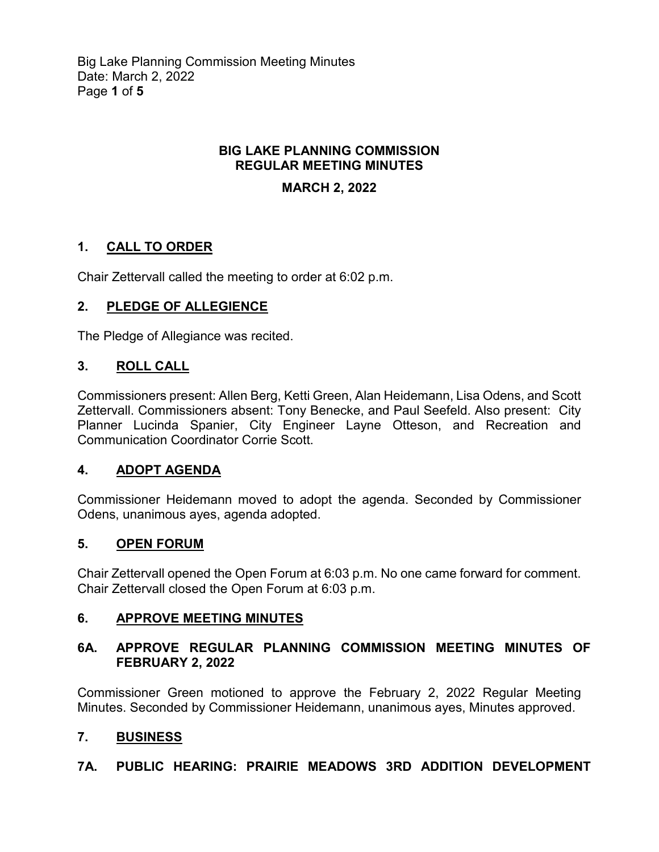Big Lake Planning Commission Meeting Minutes Date: March 2, 2022 Page **1** of **5**

### **BIG LAKE PLANNING COMMISSION REGULAR MEETING MINUTES**

### **MARCH 2, 2022**

# **1. CALL TO ORDER**

Chair Zettervall called the meeting to order at 6:02 p.m.

# **2. PLEDGE OF ALLEGIENCE**

The Pledge of Allegiance was recited.

### **3. ROLL CALL**

Commissioners present: Allen Berg, Ketti Green, Alan Heidemann, Lisa Odens, and Scott Zettervall. Commissioners absent: Tony Benecke, and Paul Seefeld. Also present: City Planner Lucinda Spanier, City Engineer Layne Otteson, and Recreation and Communication Coordinator Corrie Scott.

#### **4. ADOPT AGENDA**

Commissioner Heidemann moved to adopt the agenda. Seconded by Commissioner Odens, unanimous ayes, agenda adopted.

#### **5. OPEN FORUM**

Chair Zettervall opened the Open Forum at 6:03 p.m. No one came forward for comment. Chair Zettervall closed the Open Forum at 6:03 p.m.

#### **6. APPROVE MEETING MINUTES**

### **6A. APPROVE REGULAR PLANNING COMMISSION MEETING MINUTES OF FEBRUARY 2, 2022**

Commissioner Green motioned to approve the February 2, 2022 Regular Meeting Minutes. Seconded by Commissioner Heidemann, unanimous ayes, Minutes approved.

# **7. BUSINESS**

#### **7A. PUBLIC HEARING: PRAIRIE MEADOWS 3RD ADDITION DEVELOPMENT**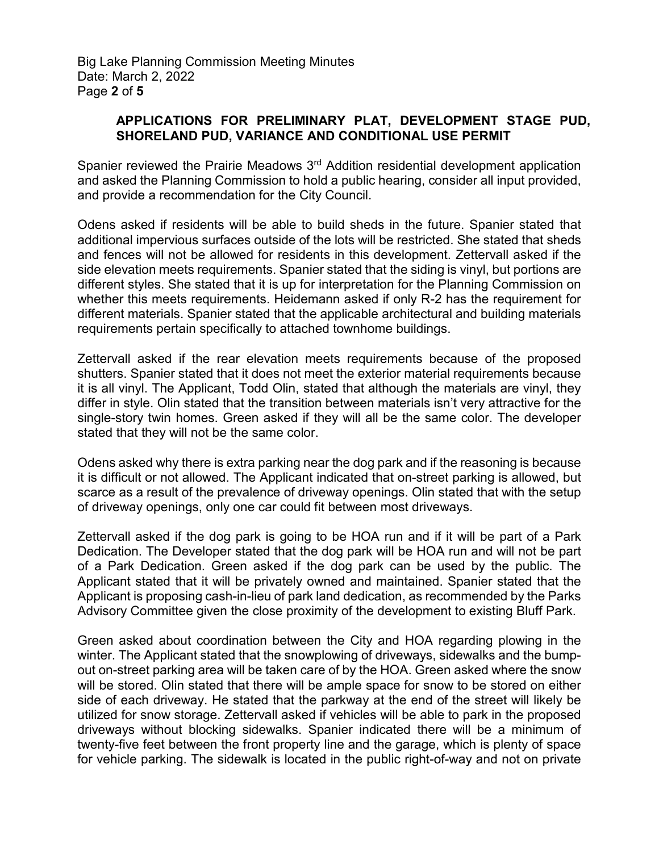Big Lake Planning Commission Meeting Minutes Date: March 2, 2022 Page **2** of **5**

#### **APPLICATIONS FOR PRELIMINARY PLAT, DEVELOPMENT STAGE PUD, SHORELAND PUD, VARIANCE AND CONDITIONAL USE PERMIT**

Spanier reviewed the Prairie Meadows 3rd Addition residential development application and asked the Planning Commission to hold a public hearing, consider all input provided, and provide a recommendation for the City Council.

Odens asked if residents will be able to build sheds in the future. Spanier stated that additional impervious surfaces outside of the lots will be restricted. She stated that sheds and fences will not be allowed for residents in this development. Zettervall asked if the side elevation meets requirements. Spanier stated that the siding is vinyl, but portions are different styles. She stated that it is up for interpretation for the Planning Commission on whether this meets requirements. Heidemann asked if only R-2 has the requirement for different materials. Spanier stated that the applicable architectural and building materials requirements pertain specifically to attached townhome buildings.

Zettervall asked if the rear elevation meets requirements because of the proposed shutters. Spanier stated that it does not meet the exterior material requirements because it is all vinyl. The Applicant, Todd Olin, stated that although the materials are vinyl, they differ in style. Olin stated that the transition between materials isn't very attractive for the single-story twin homes. Green asked if they will all be the same color. The developer stated that they will not be the same color.

Odens asked why there is extra parking near the dog park and if the reasoning is because it is difficult or not allowed. The Applicant indicated that on-street parking is allowed, but scarce as a result of the prevalence of driveway openings. Olin stated that with the setup of driveway openings, only one car could fit between most driveways.

Zettervall asked if the dog park is going to be HOA run and if it will be part of a Park Dedication. The Developer stated that the dog park will be HOA run and will not be part of a Park Dedication. Green asked if the dog park can be used by the public. The Applicant stated that it will be privately owned and maintained. Spanier stated that the Applicant is proposing cash-in-lieu of park land dedication, as recommended by the Parks Advisory Committee given the close proximity of the development to existing Bluff Park.

Green asked about coordination between the City and HOA regarding plowing in the winter. The Applicant stated that the snowplowing of driveways, sidewalks and the bumpout on-street parking area will be taken care of by the HOA. Green asked where the snow will be stored. Olin stated that there will be ample space for snow to be stored on either side of each driveway. He stated that the parkway at the end of the street will likely be utilized for snow storage. Zettervall asked if vehicles will be able to park in the proposed driveways without blocking sidewalks. Spanier indicated there will be a minimum of twenty-five feet between the front property line and the garage, which is plenty of space for vehicle parking. The sidewalk is located in the public right-of-way and not on private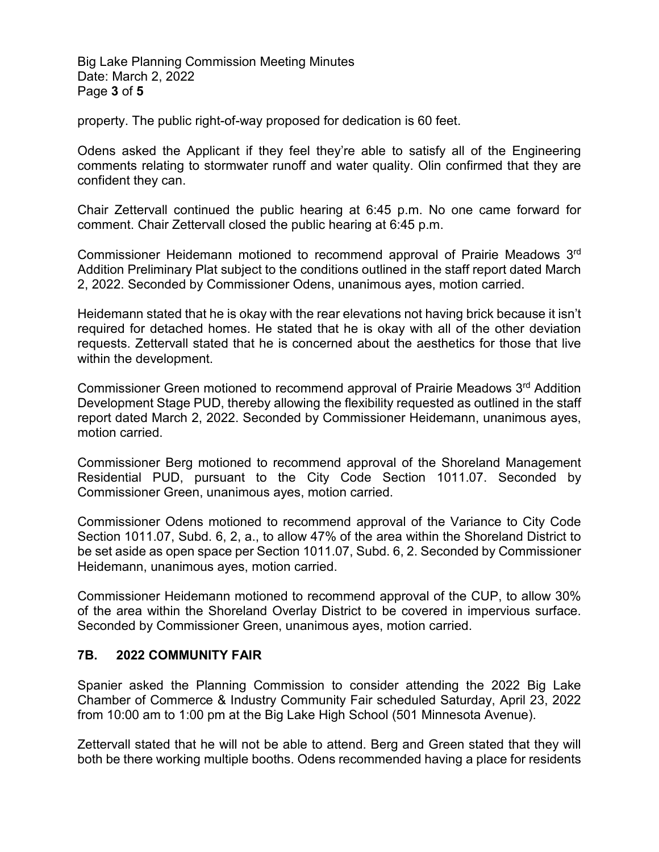Big Lake Planning Commission Meeting Minutes Date: March 2, 2022 Page **3** of **5**

property. The public right-of-way proposed for dedication is 60 feet.

Odens asked the Applicant if they feel they're able to satisfy all of the Engineering comments relating to stormwater runoff and water quality. Olin confirmed that they are confident they can.

Chair Zettervall continued the public hearing at 6:45 p.m. No one came forward for comment. Chair Zettervall closed the public hearing at 6:45 p.m.

Commissioner Heidemann motioned to recommend approval of Prairie Meadows 3rd Addition Preliminary Plat subject to the conditions outlined in the staff report dated March 2, 2022. Seconded by Commissioner Odens, unanimous ayes, motion carried.

Heidemann stated that he is okay with the rear elevations not having brick because it isn't required for detached homes. He stated that he is okay with all of the other deviation requests. Zettervall stated that he is concerned about the aesthetics for those that live within the development.

Commissioner Green motioned to recommend approval of Prairie Meadows  $3<sup>rd</sup>$  Addition Development Stage PUD, thereby allowing the flexibility requested as outlined in the staff report dated March 2, 2022. Seconded by Commissioner Heidemann, unanimous ayes, motion carried.

Commissioner Berg motioned to recommend approval of the Shoreland Management Residential PUD, pursuant to the City Code Section 1011.07. Seconded by Commissioner Green, unanimous ayes, motion carried.

Commissioner Odens motioned to recommend approval of the Variance to City Code Section 1011.07, Subd. 6, 2, a., to allow 47% of the area within the Shoreland District to be set aside as open space per Section 1011.07, Subd. 6, 2. Seconded by Commissioner Heidemann, unanimous ayes, motion carried.

Commissioner Heidemann motioned to recommend approval of the CUP, to allow 30% of the area within the Shoreland Overlay District to be covered in impervious surface. Seconded by Commissioner Green, unanimous ayes, motion carried.

#### **7B. 2022 COMMUNITY FAIR**

Spanier asked the Planning Commission to consider attending the 2022 Big Lake Chamber of Commerce & Industry Community Fair scheduled Saturday, April 23, 2022 from 10:00 am to 1:00 pm at the Big Lake High School (501 Minnesota Avenue).

Zettervall stated that he will not be able to attend. Berg and Green stated that they will both be there working multiple booths. Odens recommended having a place for residents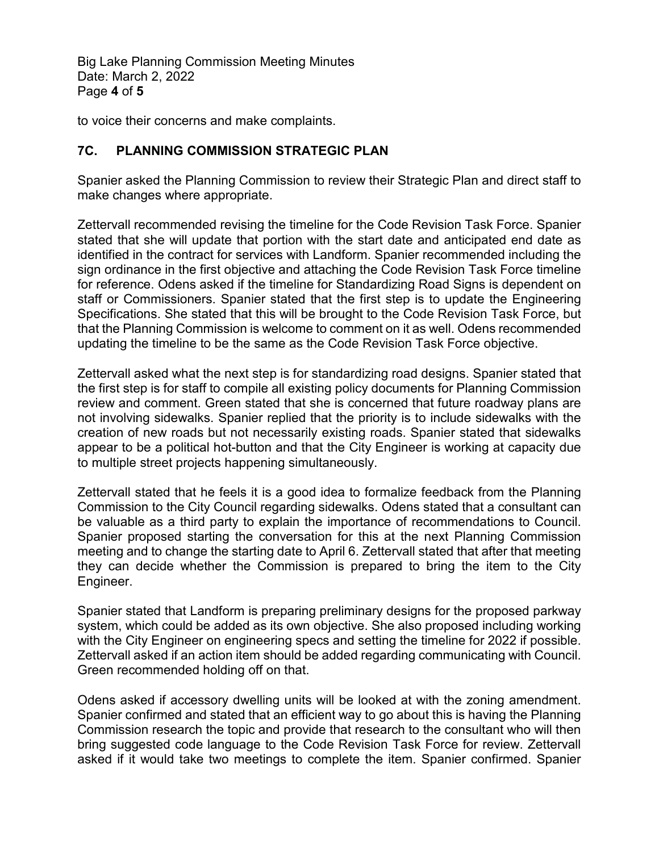Big Lake Planning Commission Meeting Minutes Date: March 2, 2022 Page **4** of **5**

to voice their concerns and make complaints.

### **7C. PLANNING COMMISSION STRATEGIC PLAN**

Spanier asked the Planning Commission to review their Strategic Plan and direct staff to make changes where appropriate.

Zettervall recommended revising the timeline for the Code Revision Task Force. Spanier stated that she will update that portion with the start date and anticipated end date as identified in the contract for services with Landform. Spanier recommended including the sign ordinance in the first objective and attaching the Code Revision Task Force timeline for reference. Odens asked if the timeline for Standardizing Road Signs is dependent on staff or Commissioners. Spanier stated that the first step is to update the Engineering Specifications. She stated that this will be brought to the Code Revision Task Force, but that the Planning Commission is welcome to comment on it as well. Odens recommended updating the timeline to be the same as the Code Revision Task Force objective.

Zettervall asked what the next step is for standardizing road designs. Spanier stated that the first step is for staff to compile all existing policy documents for Planning Commission review and comment. Green stated that she is concerned that future roadway plans are not involving sidewalks. Spanier replied that the priority is to include sidewalks with the creation of new roads but not necessarily existing roads. Spanier stated that sidewalks appear to be a political hot-button and that the City Engineer is working at capacity due to multiple street projects happening simultaneously.

Zettervall stated that he feels it is a good idea to formalize feedback from the Planning Commission to the City Council regarding sidewalks. Odens stated that a consultant can be valuable as a third party to explain the importance of recommendations to Council. Spanier proposed starting the conversation for this at the next Planning Commission meeting and to change the starting date to April 6. Zettervall stated that after that meeting they can decide whether the Commission is prepared to bring the item to the City Engineer.

Spanier stated that Landform is preparing preliminary designs for the proposed parkway system, which could be added as its own objective. She also proposed including working with the City Engineer on engineering specs and setting the timeline for 2022 if possible. Zettervall asked if an action item should be added regarding communicating with Council. Green recommended holding off on that.

Odens asked if accessory dwelling units will be looked at with the zoning amendment. Spanier confirmed and stated that an efficient way to go about this is having the Planning Commission research the topic and provide that research to the consultant who will then bring suggested code language to the Code Revision Task Force for review. Zettervall asked if it would take two meetings to complete the item. Spanier confirmed. Spanier